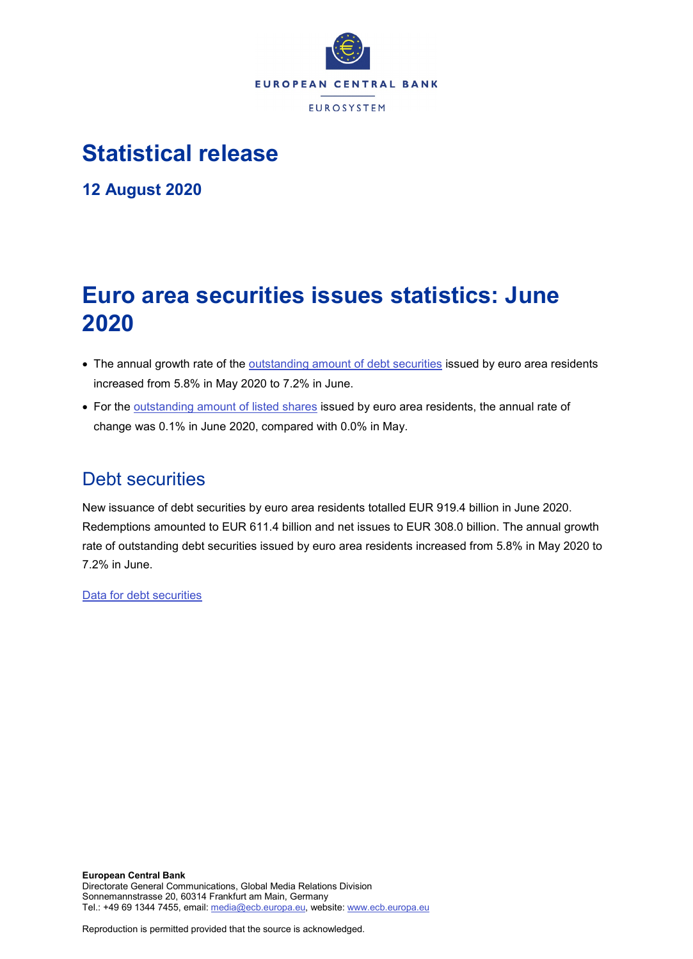

# **Statistical release**

**12 August 2020**

# **Euro area securities issues statistics: June 2020**

- The annual growth rate of the [outstanding amount of debt securities](http://sdw.ecb.europa.eu/quickview.do?SERIES_KEY=130.SEC.M.I8.1000.F33000.N.I.Z01.A.Z) issued by euro area residents increased from 5.8% in May 2020 to 7.2% in June.
- For the [outstanding amount of listed shares](http://sdw.ecb.europa.eu/quickview.do?SERIES_KEY=130.SEC.M.I8.1000.F51100.M.I.Z01.A.Z) issued by euro area residents, the annual rate of change was 0.1% in June 2020, compared with 0.0% in May.

## Debt securities

New issuance of debt securities by euro area residents totalled EUR 919.4 billion in June 2020. Redemptions amounted to EUR 611.4 billion and net issues to EUR 308.0 billion. The annual growth rate of outstanding debt securities issued by euro area residents increased from 5.8% in May 2020 to 7.2% in June.

[Data for debt securities](http://sdw.ecb.europa.eu/browseSelection.do?type=series&q=SEC.M.I8.1000.F33000.N.2.Z01.E.Z%2c+SEC.M.I8.1000.F33000.N.3.Z01.E.Z%2c+SEC.M.I8.1000.F33000.N.4.Z01.E.Z%2c+SEC.M.I8.1000.F33000.N.I.Z01.A.Z&node=SEARCHRESULTS&ec=&oc=&rc=&cv=&pb=&dc=&df=)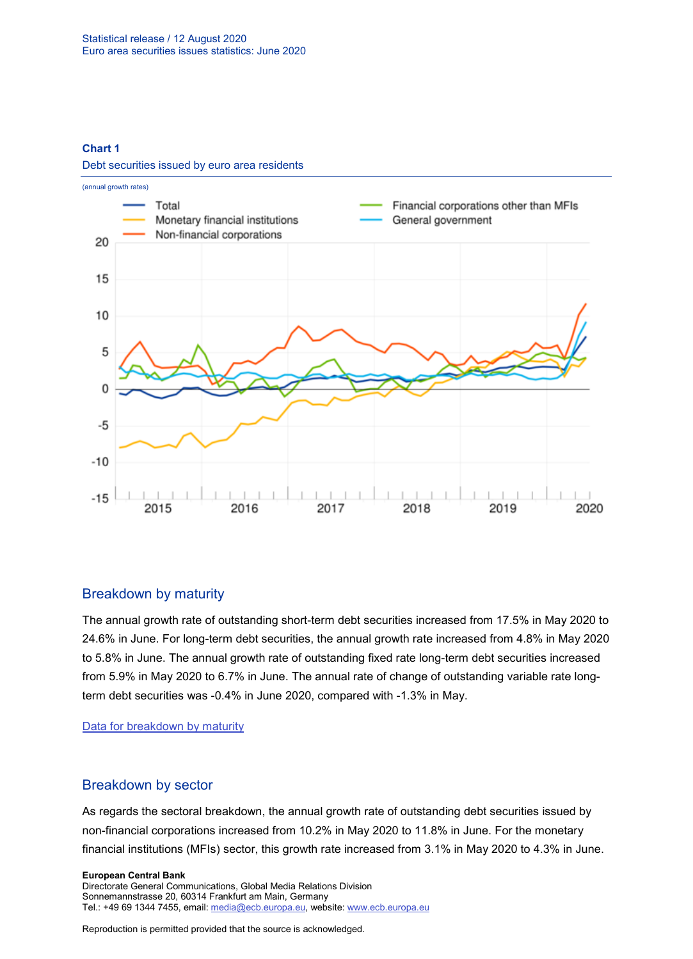#### **Chart 1**

Debt securities issued by euro area residents



### Breakdown by maturity

The annual growth rate of outstanding short-term debt securities increased from 17.5% in May 2020 to 24.6% in June. For long-term debt securities, the annual growth rate increased from 4.8% in May 2020 to 5.8% in June. The annual growth rate of outstanding fixed rate long-term debt securities increased from 5.9% in May 2020 to 6.7% in June. The annual rate of change of outstanding variable rate longterm debt securities was -0.4% in June 2020, compared with -1.3% in May.

[Data for breakdown by maturity](http://sdw.ecb.europa.eu/browseSelection.do?type=series&q=SEC.M.I8.1000.F33100.N.I.Z01.A.Z%2c+SEC.M.I8.1000.F33200.N.I.Z01.A.Z%2c+SEC.M.I8.1000.F33201.N.I.Z01.A.Z%2c+SEC.M.I8.1000.F33202.N.I.Z01.A.Z&node=SEARCHRESULTS&ec=&oc=&rc=&cv=&pb=&dc=&df=)

### Breakdown by sector

As regards the sectoral breakdown, the annual growth rate of outstanding debt securities issued by non-financial corporations increased from 10.2% in May 2020 to 11.8% in June. For the monetary financial institutions (MFIs) sector, this growth rate increased from 3.1% in May 2020 to 4.3% in June.

#### **European Central Bank** Directorate General Communications, Global Media Relations Division Sonnemannstrasse 20, 60314 Frankfurt am Main, Germany

Tel.: +49 69 1344 7455, email[: media@ecb.europa.eu,](mailto:media@ecb.europa.eu) website: www.ecb.europa.eu

Reproduction is permitted provided that the source is acknowledged.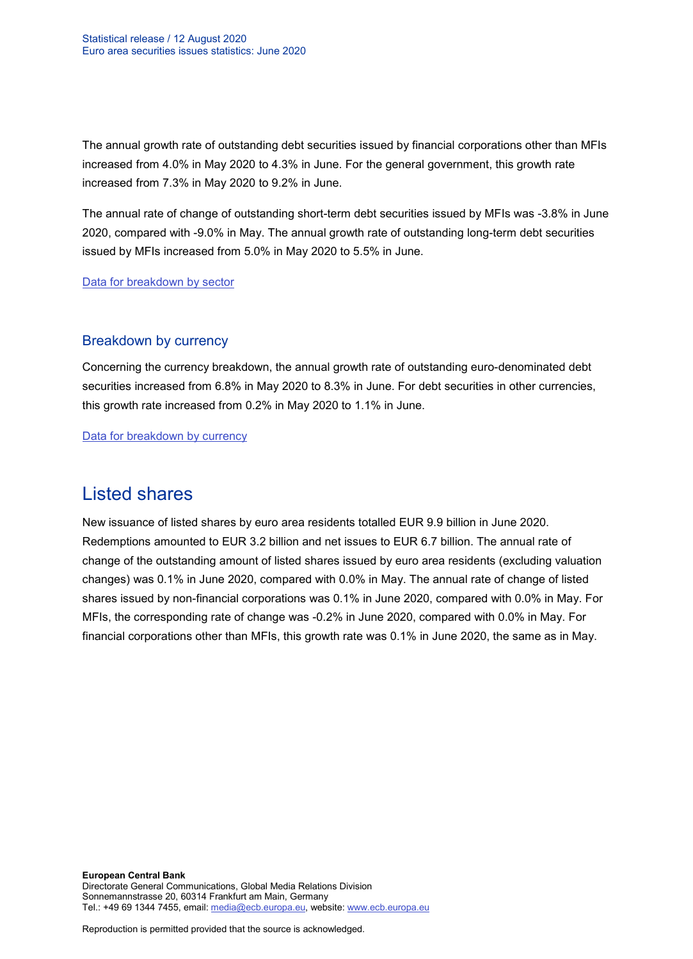The annual growth rate of outstanding debt securities issued by financial corporations other than MFIs increased from 4.0% in May 2020 to 4.3% in June. For the general government, this growth rate increased from 7.3% in May 2020 to 9.2% in June.

The annual rate of change of outstanding short-term debt securities issued by MFIs was -3.8% in June 2020, compared with -9.0% in May. The annual growth rate of outstanding long-term debt securities issued by MFIs increased from 5.0% in May 2020 to 5.5% in June.

[Data for breakdown by sector](http://sdw.ecb.europa.eu/browseSelection.do?type=series&q=SEC.M.I8.1100.F33000.N.I.Z01.A.Z%2cSEC.M.I8.1220.F33000.N.I.Z01.A.Z%2cSEC.M.I8.1235.F33000.N.I.Z01.A.Z%2cSEC.M.I8.1300.F33000.N.I.Z01.A.Z%2cSEC.M.I8.1220.F33100.N.I.Z01.A.Z%2cSEC.M.I8.1220.F33200.N.I.Z01.A.Z&node=SEARCHRESULTS&ec=&oc=&rc=&cv=&pb=&dc=&df=)

#### Breakdown by currency

Concerning the currency breakdown, the annual growth rate of outstanding euro-denominated debt securities increased from 6.8% in May 2020 to 8.3% in June. For debt securities in other currencies, this growth rate increased from 0.2% in May 2020 to 1.1% in June.

[Data for breakdown by currency](http://sdw.ecb.europa.eu/browseSelection.do?type=series&q=SEC.M.I8.1000.F33000.N.I.EUR.A.Z%2cSEC.M.I8.1000.F33000.N.I.Z06.A.Z&node=SEARCHRESULTS&ec=&oc=&rc=&cv=&pb=&dc=&df=)

## Listed shares

New issuance of listed shares by euro area residents totalled EUR 9.9 billion in June 2020. Redemptions amounted to EUR 3.2 billion and net issues to EUR 6.7 billion. The annual rate of change of the outstanding amount of listed shares issued by euro area residents (excluding valuation changes) was 0.1% in June 2020, compared with 0.0% in May. The annual rate of change of listed shares issued by non-financial corporations was 0.1% in June 2020, compared with 0.0% in May. For MFIs, the corresponding rate of change was -0.2% in June 2020, compared with 0.0% in May. For financial corporations other than MFIs, this growth rate was 0.1% in June 2020, the same as in May.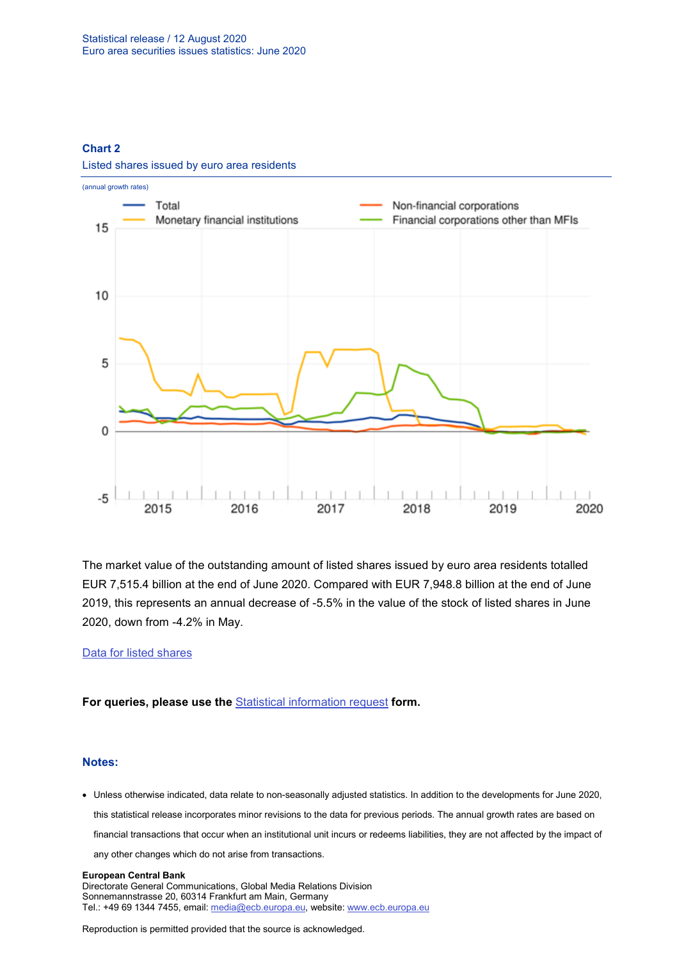#### **Chart 2**



Listed shares issued by euro area residents

The market value of the outstanding amount of listed shares issued by euro area residents totalled EUR 7,515.4 billion at the end of June 2020. Compared with EUR 7,948.8 billion at the end of June 2019, this represents an annual decrease of -5.5% in the value of the stock of listed shares in June 2020, down from -4.2% in May.

#### [Data for listed shares](http://sdw.ecb.europa.eu/browseSelection.do?type=series&q=SEC.M.I8.1000.F51100.M.2.Z01.E.Z%2cSEC.M.I8.1000.F51100.M.3.Z01.E.Z%2cSEC.M.I8.1000.F51100.M.4.Z01.E.Z%2cSEC.M.I8.1000.F51100.M.I.Z01.A.Z%2cSEC.M.I8.1100.F51100.M.I.Z01.A.Z%2cSEC.M.I8.1220.F51100.M.I.Z01.A.Z%2cSEC.M.I8.1235.F51100.M.I.Z01.A.Z%2cSEC.M.I8.1000.F51100.M.1.Z01.E.Z&node=SEARCHRESULTS&ec=&oc=&rc=&cv=&pb=&dc=&df=)

**For queries, please use the** [Statistical information request](https://ecb-registration.escb.eu/statistical-infation) **form.**

#### **Notes:**

• Unless otherwise indicated, data relate to non-seasonally adjusted statistics. In addition to the developments for June 2020, this statistical release incorporates minor revisions to the data for previous periods. The annual growth rates are based on financial transactions that occur when an institutional unit incurs or redeems liabilities, they are not affected by the impact of any other changes which do not arise from transactions.

#### **European Central Bank** Directorate General Communications, Global Media Relations Division Sonnemannstrasse 20, 60314 Frankfurt am Main, Germany Tel.: +49 69 1344 7455, email[: media@ecb.europa.eu,](mailto:media@ecb.europa.eu) website: www.ecb.europa.eu

Reproduction is permitted provided that the source is acknowledged.